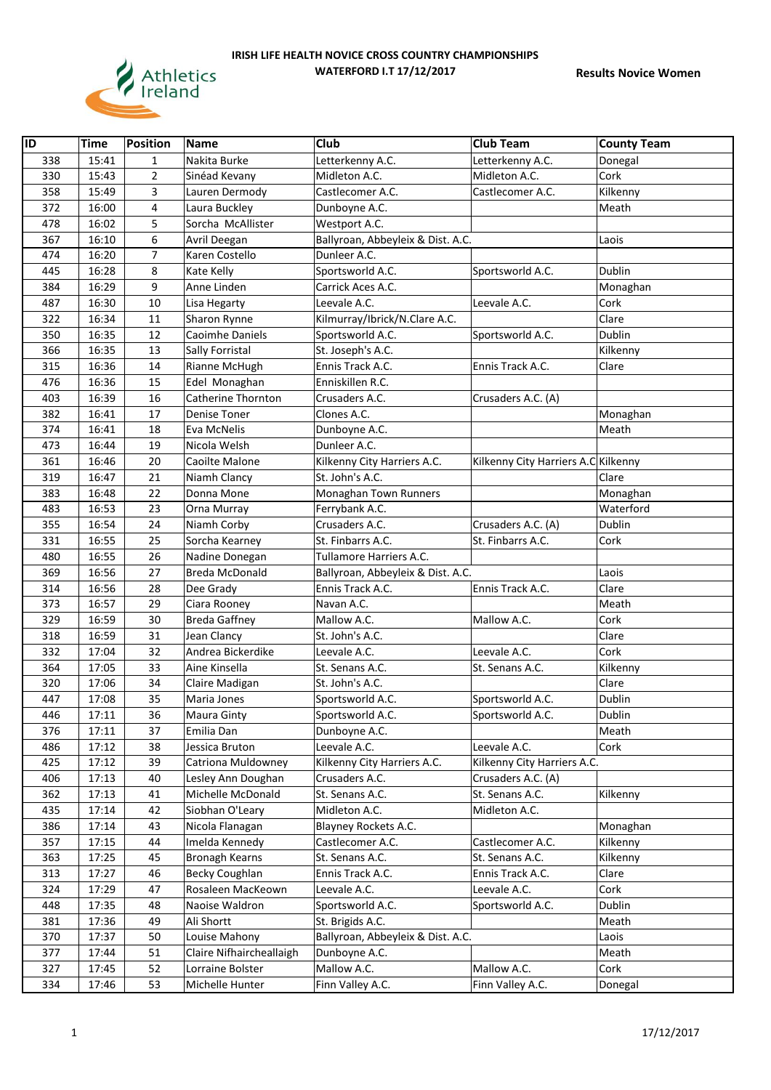

| $\overline{ID}$ | <b>Time</b> | <b>Position</b> | Name                     | Club                              | <b>Club Team</b>                    | <b>County Team</b> |
|-----------------|-------------|-----------------|--------------------------|-----------------------------------|-------------------------------------|--------------------|
| 338             | 15:41       | $\mathbf{1}$    | Nakita Burke             | Letterkenny A.C.                  | Letterkenny A.C.                    | Donegal            |
| 330             | 15:43       | $\overline{2}$  | Sinéad Kevany            | Midleton A.C.                     | Midleton A.C.                       | Cork               |
| 358             | 15:49       | 3               | Lauren Dermody           | Castlecomer A.C.                  | Castlecomer A.C.                    | Kilkenny           |
| 372             | 16:00       | 4               | Laura Buckley            | Dunboyne A.C.                     |                                     | Meath              |
| 478             | 16:02       | 5               | Sorcha McAllister        | Westport A.C.                     |                                     |                    |
| 367             | 16:10       | 6               | Avril Deegan             | Ballyroan, Abbeyleix & Dist. A.C. |                                     | Laois              |
| 474             | 16:20       | 7               | Karen Costello           | Dunleer A.C.                      |                                     |                    |
| 445             | 16:28       | 8               | Kate Kelly               | Sportsworld A.C.                  | Sportsworld A.C.                    | Dublin             |
| 384             | 16:29       | 9               | Anne Linden              | Carrick Aces A.C.                 |                                     | Monaghan           |
| 487             | 16:30       | 10              | Lisa Hegarty             | Leevale A.C.                      | Leevale A.C.                        | Cork               |
| 322             | 16:34       | 11              | Sharon Rynne             | Kilmurray/Ibrick/N.Clare A.C.     |                                     | Clare              |
| 350             | 16:35       | 12              | Caoimhe Daniels          | Sportsworld A.C.                  | Sportsworld A.C.                    | Dublin             |
| 366             | 16:35       | 13              | Sally Forristal          | St. Joseph's A.C.                 |                                     | Kilkenny           |
| 315             | 16:36       | 14              | Rianne McHugh            | Ennis Track A.C.                  | Ennis Track A.C.                    | Clare              |
| 476             | 16:36       | 15              | Edel Monaghan            | Enniskillen R.C.                  |                                     |                    |
| 403             | 16:39       | 16              | Catherine Thornton       | Crusaders A.C.                    | Crusaders A.C. (A)                  |                    |
| 382             | 16:41       | 17              | Denise Toner             | Clones A.C.                       |                                     | Monaghan           |
| 374             | 16:41       | 18              | Eva McNelis              | Dunboyne A.C.                     |                                     | Meath              |
| 473             | 16:44       | 19              | Nicola Welsh             | Dunleer A.C.                      |                                     |                    |
| 361             | 16:46       | 20              | Caoilte Malone           | Kilkenny City Harriers A.C.       | Kilkenny City Harriers A.C Kilkenny |                    |
| 319             | 16:47       | 21              | Niamh Clancy             | St. John's A.C.                   |                                     | Clare              |
| 383             | 16:48       | 22              | Donna Mone               | Monaghan Town Runners             |                                     | Monaghan           |
| 483             | 16:53       | 23              | Orna Murray              | Ferrybank A.C.                    |                                     | Waterford          |
| 355             | 16:54       | 24              | Niamh Corby              | Crusaders A.C.                    | Crusaders A.C. (A)                  | Dublin             |
| 331             | 16:55       | 25              | Sorcha Kearney           | St. Finbarrs A.C.                 | St. Finbarrs A.C.                   | Cork               |
| 480             | 16:55       | 26              | Nadine Donegan           | Tullamore Harriers A.C.           |                                     |                    |
| 369             | 16:56       | 27              | <b>Breda McDonald</b>    | Ballyroan, Abbeyleix & Dist. A.C. |                                     | Laois              |
| 314             | 16:56       | 28              | Dee Grady                | Ennis Track A.C.                  | Ennis Track A.C.                    | Clare              |
| 373             | 16:57       | 29              | Ciara Rooney             | Navan A.C.                        |                                     | Meath              |
| 329             | 16:59       | 30              | <b>Breda Gaffney</b>     | Mallow A.C.                       | Mallow A.C.                         | Cork               |
| 318             | 16:59       | 31              | Jean Clancy              | St. John's A.C.                   |                                     | Clare              |
| 332             | 17:04       | 32              | Andrea Bickerdike        | Leevale A.C.                      | Leevale A.C.                        | Cork               |
| 364             | 17:05       | 33              | Aine Kinsella            | St. Senans A.C.                   | St. Senans A.C.                     | Kilkenny           |
| 320             | 17:06       | 34              | Claire Madigan           | St. John's A.C.                   |                                     | Clare              |
| 447             | 17:08       | 35              | Maria Jones              | Sportsworld A.C.                  | Sportsworld A.C.                    | Dublin             |
| 446             | 17:11       | 36              | Maura Ginty              | Sportsworld A.C.                  | Sportsworld A.C.                    | Dublin             |
| 376             | 17:11       | 37              | Emilia Dan               | Dunboyne A.C.                     |                                     | Meath              |
| 486             | 17:12       | 38              | Jessica Bruton           | Leevale A.C.                      | Leevale A.C.                        | Cork               |
| 425             | 17:12       | 39              | Catriona Muldowney       | Kilkenny City Harriers A.C.       | Kilkenny City Harriers A.C.         |                    |
| 406             | 17:13       | 40              | Lesley Ann Doughan       | Crusaders A.C.                    | Crusaders A.C. (A)                  |                    |
| 362             | 17:13       | 41              | Michelle McDonald        | St. Senans A.C.                   | St. Senans A.C.                     | Kilkenny           |
| 435             | 17:14       | 42              | Siobhan O'Leary          | Midleton A.C.                     | Midleton A.C.                       |                    |
| 386             | 17:14       | 43              | Nicola Flanagan          | Blayney Rockets A.C.              |                                     | Monaghan           |
| 357             | 17:15       | 44              | Imelda Kennedy           | Castlecomer A.C.                  | Castlecomer A.C.                    | Kilkenny           |
| 363             | 17:25       | 45              | <b>Bronagh Kearns</b>    | St. Senans A.C.                   | St. Senans A.C.                     | Kilkenny           |
| 313             | 17:27       | 46              | <b>Becky Coughlan</b>    | Ennis Track A.C.                  | Ennis Track A.C.                    | Clare              |
| 324             | 17:29       | 47              | Rosaleen MacKeown        | Leevale A.C.                      | Leevale A.C.                        | Cork               |
| 448             | 17:35       | 48              | Naoise Waldron           | Sportsworld A.C.                  | Sportsworld A.C.                    | Dublin             |
| 381             | 17:36       | 49              | Ali Shortt               | St. Brigids A.C.                  |                                     | Meath              |
| 370             | 17:37       | 50              | Louise Mahony            | Ballyroan, Abbeyleix & Dist. A.C. |                                     | Laois              |
| 377             | 17:44       | 51              | Claire Nifhaircheallaigh | Dunboyne A.C.                     |                                     | Meath              |
| 327             | 17:45       | 52              | Lorraine Bolster         | Mallow A.C.                       | Mallow A.C.                         | Cork               |
| 334             | 17:46       | 53              | Michelle Hunter          | Finn Valley A.C.                  | Finn Valley A.C.                    | Donegal            |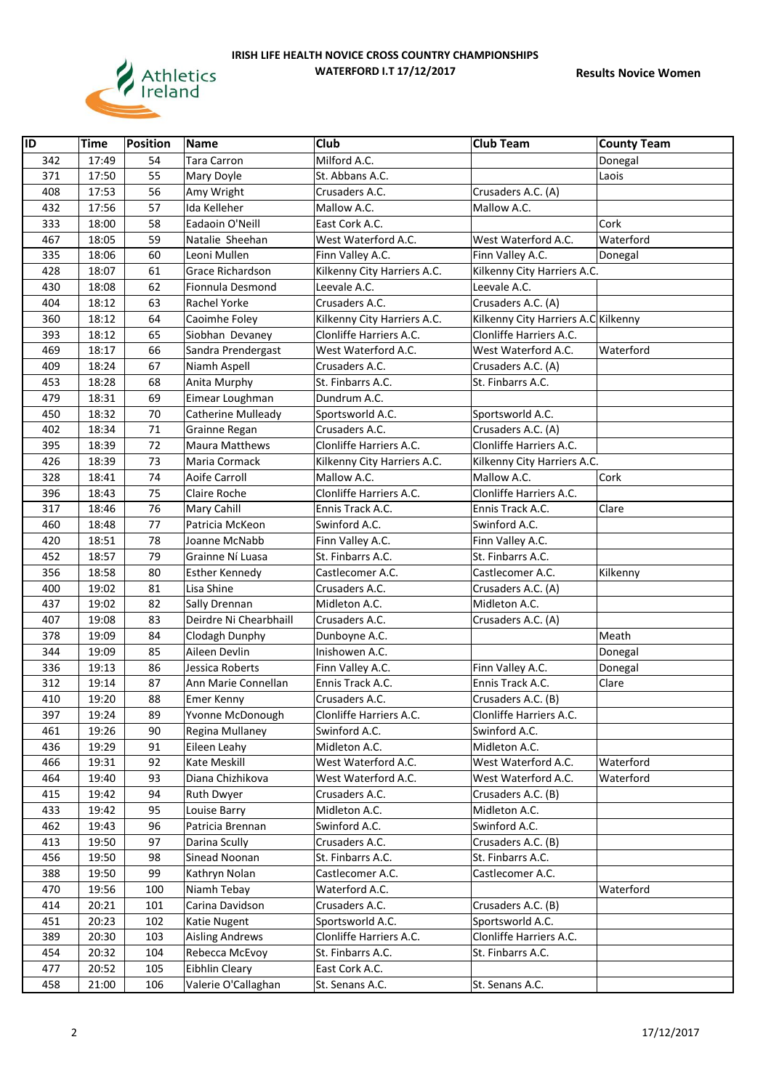

| $\overline{ID}$ | Time  | <b>Position</b> | <b>Name</b>             | Club                        | <b>Club Team</b>                    | <b>County Team</b> |
|-----------------|-------|-----------------|-------------------------|-----------------------------|-------------------------------------|--------------------|
| 342             | 17:49 | 54              | <b>Tara Carron</b>      | Milford A.C.                |                                     | Donegal            |
| 371             | 17:50 | 55              | Mary Doyle              | St. Abbans A.C.             |                                     | Laois              |
| 408             | 17:53 | 56              | Amy Wright              | Crusaders A.C.              | Crusaders A.C. (A)                  |                    |
| 432             | 17:56 | 57              | Ida Kelleher            | Mallow A.C.                 | Mallow A.C.                         |                    |
| 333             | 18:00 | 58              | Eadaoin O'Neill         | East Cork A.C.              |                                     | Cork               |
| 467             | 18:05 | 59              | Natalie Sheehan         | West Waterford A.C.         | West Waterford A.C.                 | Waterford          |
| 335             | 18:06 | 60              | Leoni Mullen            | Finn Valley A.C.            | Finn Valley A.C.                    | Donegal            |
| 428             | 18:07 | 61              | <b>Grace Richardson</b> | Kilkenny City Harriers A.C. | Kilkenny City Harriers A.C.         |                    |
| 430             | 18:08 | 62              | Fionnula Desmond        | Leevale A.C.                | Leevale A.C.                        |                    |
| 404             | 18:12 | 63              | <b>Rachel Yorke</b>     | Crusaders A.C.              | Crusaders A.C. (A)                  |                    |
| 360             | 18:12 | 64              | Caoimhe Foley           | Kilkenny City Harriers A.C. | Kilkenny City Harriers A.C Kilkenny |                    |
| 393             | 18:12 | 65              | Siobhan Devaney         | Clonliffe Harriers A.C.     | Clonliffe Harriers A.C.             |                    |
| 469             | 18:17 | 66              | Sandra Prendergast      | West Waterford A.C.         | West Waterford A.C.                 | Waterford          |
| 409             | 18:24 | 67              | Niamh Aspell            | Crusaders A.C.              | Crusaders A.C. (A)                  |                    |
| 453             | 18:28 | 68              | Anita Murphy            | St. Finbarrs A.C.           | St. Finbarrs A.C.                   |                    |
| 479             | 18:31 | 69              | Eimear Loughman         | Dundrum A.C.                |                                     |                    |
| 450             | 18:32 | 70              | Catherine Mulleady      | Sportsworld A.C.            | Sportsworld A.C.                    |                    |
| 402             | 18:34 | 71              | Grainne Regan           | Crusaders A.C.              | Crusaders A.C. (A)                  |                    |
| 395             | 18:39 | 72              | <b>Maura Matthews</b>   | Clonliffe Harriers A.C.     | Clonliffe Harriers A.C.             |                    |
| 426             | 18:39 | 73              | Maria Cormack           | Kilkenny City Harriers A.C. | Kilkenny City Harriers A.C.         |                    |
| 328             | 18:41 | 74              | Aoife Carroll           | Mallow A.C.                 | Mallow A.C.                         | Cork               |
| 396             | 18:43 | 75              | Claire Roche            | Clonliffe Harriers A.C.     | Clonliffe Harriers A.C.             |                    |
| 317             | 18:46 | 76              | Mary Cahill             | Ennis Track A.C.            | Ennis Track A.C.                    | Clare              |
| 460             | 18:48 | 77              | Patricia McKeon         | Swinford A.C.               | Swinford A.C.                       |                    |
| 420             | 18:51 | 78              | Joanne McNabb           | Finn Valley A.C.            | Finn Valley A.C.                    |                    |
| 452             | 18:57 | 79              | Grainne Ní Luasa        | St. Finbarrs A.C.           | St. Finbarrs A.C.                   |                    |
| 356             | 18:58 | 80              | <b>Esther Kennedy</b>   | Castlecomer A.C.            | Castlecomer A.C.                    | Kilkenny           |
| 400             | 19:02 | 81              | Lisa Shine              | Crusaders A.C.              | Crusaders A.C. (A)                  |                    |
| 437             | 19:02 | 82              | Sally Drennan           | Midleton A.C.               | Midleton A.C.                       |                    |
| 407             | 19:08 | 83              | Deirdre Ni Chearbhaill  | Crusaders A.C.              | Crusaders A.C. (A)                  |                    |
| 378             | 19:09 | 84              | Clodagh Dunphy          | Dunboyne A.C.               |                                     | Meath              |
| 344             | 19:09 | 85              | Aileen Devlin           | Inishowen A.C.              |                                     | Donegal            |
| 336             | 19:13 | 86              | Jessica Roberts         | Finn Valley A.C.            | Finn Valley A.C.                    | Donegal            |
| 312             | 19:14 | 87              | Ann Marie Connellan     | Ennis Track A.C.            | Ennis Track A.C.                    | Clare              |
| 410             | 19:20 | 88              | Emer Kenny              | Crusaders A.C.              | Crusaders A.C. (B)                  |                    |
| 397             | 19:24 | 89              | Yvonne McDonough        | Clonliffe Harriers A.C.     | Clonliffe Harriers A.C.             |                    |
| 461             | 19:26 | 90              | Regina Mullaney         | Swinford A.C.               | Swinford A.C.                       |                    |
| 436             | 19:29 | 91              | Eileen Leahy            | Midleton A.C.               | Midleton A.C.                       |                    |
| 466             | 19:31 | 92              | Kate Meskill            | West Waterford A.C.         | West Waterford A.C.                 | Waterford          |
| 464             | 19:40 | 93              | Diana Chizhikova        | West Waterford A.C.         | West Waterford A.C.                 | Waterford          |
| 415             | 19:42 | 94              | <b>Ruth Dwyer</b>       | Crusaders A.C.              | Crusaders A.C. (B)                  |                    |
| 433             | 19:42 | 95              | Louise Barry            | Midleton A.C.               | Midleton A.C.                       |                    |
| 462             | 19:43 | 96              | Patricia Brennan        | Swinford A.C.               | Swinford A.C.                       |                    |
| 413             | 19:50 | 97              | Darina Scully           | Crusaders A.C.              | Crusaders A.C. (B)                  |                    |
| 456             | 19:50 | 98              | Sinead Noonan           | St. Finbarrs A.C.           | St. Finbarrs A.C.                   |                    |
| 388             | 19:50 | 99              | Kathryn Nolan           | Castlecomer A.C.            | Castlecomer A.C.                    |                    |
| 470             | 19:56 | 100             | Niamh Tebay             | Waterford A.C.              |                                     | Waterford          |
| 414             | 20:21 | 101             | Carina Davidson         | Crusaders A.C.              | Crusaders A.C. (B)                  |                    |
| 451             | 20:23 | 102             | Katie Nugent            | Sportsworld A.C.            | Sportsworld A.C.                    |                    |
| 389             | 20:30 | 103             | <b>Aisling Andrews</b>  | Clonliffe Harriers A.C.     | Clonliffe Harriers A.C.             |                    |
| 454             | 20:32 | 104             | Rebecca McEvoy          | St. Finbarrs A.C.           | St. Finbarrs A.C.                   |                    |
| 477             | 20:52 | 105             | Eibhlin Cleary          | East Cork A.C.              |                                     |                    |
| 458             | 21:00 | 106             | Valerie O'Callaghan     | St. Senans A.C.             | St. Senans A.C.                     |                    |